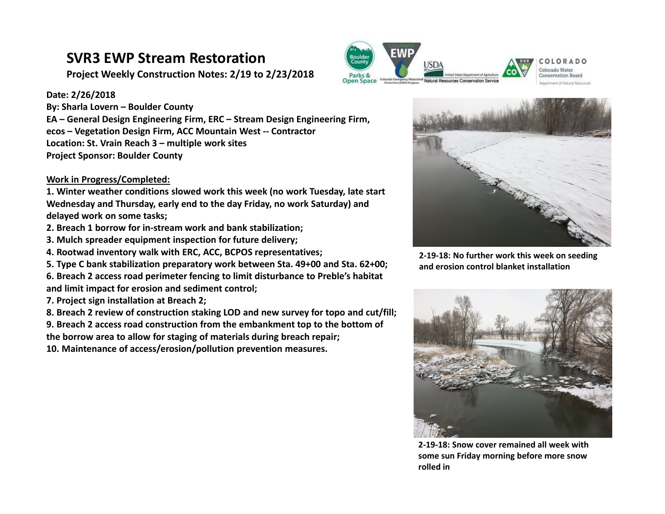## **SVR3 EWP Stream Restoration**

**Project Weekly Construction Notes: 2/19 to 2/23/2018**

#### **Date: 2/26/2018**

**By: Sharla Lovern – Boulder County EA – General Design Engineering Firm, ERC – Stream Design Engineering Firm, ecos – Vegetation Design Firm, ACC Mountain West ‐‐ Contractor Location: St. Vrain Reach 3 – multiple work sites Project Sponsor: Boulder County** 

### **Work in Progress/Completed:**

**1. Winter weather conditions slowed work this week (no work Tuesday, late start Wednesday and Thursday, early end to the day Friday, no work Saturday) and delayed work on some tasks;**

- **2. Breach 1 borrow for in‐stream work and bank stabilization;**
- **3. Mulch spreader equipment inspection for future delivery;**
- **4. Rootwad inventory walk with ERC, ACC, BCPOS representatives;**

**5. Type C bank stabilization preparatory work between Sta. 49+00 and Sta. 62+00;** 

**6. Breach 2 access road perimeter fencing to limit disturbance to Preble's habitat and limit impact for erosion and sediment control;**

- **7. Project sign installation at Breach 2;**
- **8. Breach 2 review of construction staking LOD and new survey for topo and cut/fill;**

**9. Breach 2 access road construction from the embankment top to the bottom of** 

**the borrow area to allow for staging of materials during breach repair;** 

**10. Maintenance of access/erosion/pollution prevention measures.**





Colorado Water **Conservation Board** Department of Matural Bestuare



**2‐19‐18: No further work this week on seeding and erosion control blanket installation** 



**2‐19‐18: Snow cover remained all week with some sun Friday morning before more snow rolled in**